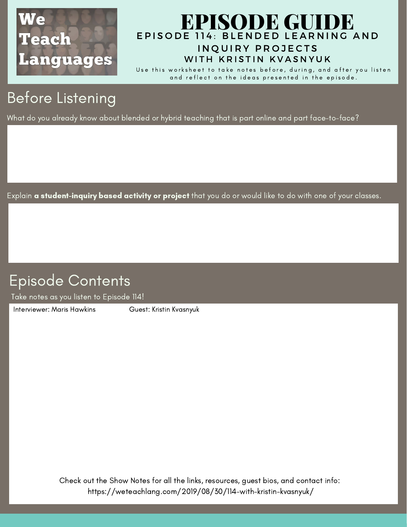

### EPISODE 114: BLENDED LEARNING AND IN OUIRY PROJECTS [EPISODE](https://weteachlang.com/2019/08/30/114-with-kristin-kvasnyuk/) GUIDE WITH KRISTIN KVASNYUK

Use this worksheet to take notes before, during, and after you listen and reflect on the ideas presented in the episode.

# Before Listening

What do you already know about blended or hybrid teaching that is part online and part face-to-face?

Explain **a student-inquiry based activity or project** that you do or would like to do with one of your classes.

## Episode Contents

Take notes as you listen to Episode 114!

[Interviewer:](https://weteachlang.com/2018/08/31/ep-68-with-erin-whelchel) Maris Hawkins Guest: Kristin Kvasnyuk